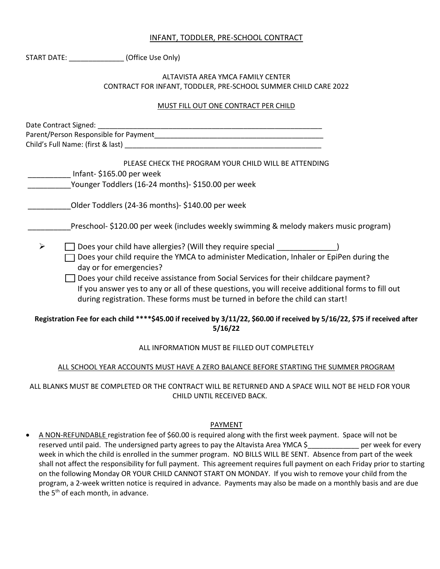# INFANT, TODDLER, PRE-SCHOOL CONTRACT

|   | START DATE: (Office Use Only)                                                                                                                                                                                                                                                      |
|---|------------------------------------------------------------------------------------------------------------------------------------------------------------------------------------------------------------------------------------------------------------------------------------|
|   | ALTAVISTA AREA YMCA FAMILY CENTER                                                                                                                                                                                                                                                  |
|   | CONTRACT FOR INFANT, TODDLER, PRE-SCHOOL SUMMER CHILD CARE 2022                                                                                                                                                                                                                    |
|   | MUST FILL OUT ONE CONTRACT PER CHILD                                                                                                                                                                                                                                               |
|   |                                                                                                                                                                                                                                                                                    |
|   |                                                                                                                                                                                                                                                                                    |
|   | Child's Full Name: (first & last) entitled and a series of the series of the series of the series of the series                                                                                                                                                                    |
|   | PLEASE CHECK THE PROGRAM YOUR CHILD WILL BE ATTENDING<br>Infant-\$165.00 per week                                                                                                                                                                                                  |
|   | Younger Toddlers (16-24 months)- \$150.00 per week                                                                                                                                                                                                                                 |
|   | Older Toddlers (24-36 months)- \$140.00 per week                                                                                                                                                                                                                                   |
|   | Preschool- \$120.00 per week (includes weekly swimming & melody makers music program)                                                                                                                                                                                              |
| ➤ | □ Does your child have allergies? (Will they require special _____________)                                                                                                                                                                                                        |
|   | Does your child require the YMCA to administer Medication, Inhaler or EpiPen during the<br>day or for emergencies?                                                                                                                                                                 |
|   | $\Box$ Does your child receive assistance from Social Services for their childcare payment?<br>If you answer yes to any or all of these questions, you will receive additional forms to fill out<br>during registration. These forms must be turned in before the child can start! |
|   | Registration Fee for each child ****\$45.00 if received by 3/11/22, \$60.00 if received by 5/16/22, \$75 if received after<br>5/16/22                                                                                                                                              |
|   | ALL INFORMATION MUST BE FILLED OUT COMPLETELY                                                                                                                                                                                                                                      |
|   | ALL SCHOOL YEAR ACCOUNTS MUST HAVE A ZERO BALANCE BEFORE STARTING THE SUMMER PROGRAM                                                                                                                                                                                               |
|   |                                                                                                                                                                                                                                                                                    |

ALL BLANKS MUST BE COMPLETED OR THE CONTRACT WILL BE RETURNED AND A SPACE WILL NOT BE HELD FOR YOUR CHILD UNTIL RECEIVED BACK.

## PAYMENT

• A NON-REFUNDABLE registration fee of \$60.00 is required along with the first week payment. Space will not be reserved until paid. The undersigned party agrees to pay the Altavista Area YMCA \$\_\_\_\_\_\_\_\_\_\_\_\_\_ per week for every week in which the child is enrolled in the summer program. NO BILLS WILL BE SENT. Absence from part of the week shall not affect the responsibility for full payment. This agreement requires full payment on each Friday prior to starting on the following Monday OR YOUR CHILD CANNOT START ON MONDAY. If you wish to remove your child from the program, a 2-week written notice is required in advance. Payments may also be made on a monthly basis and are due the  $5<sup>th</sup>$  of each month, in advance.